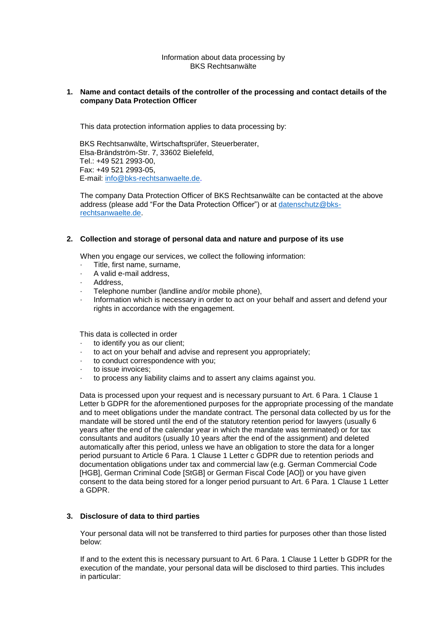#### Information about data processing by BKS Rechtsanwälte

### **1. Name and contact details of the controller of the processing and contact details of the company Data Protection Officer**

This data protection information applies to data processing by:

BKS Rechtsanwälte, Wirtschaftsprüfer, Steuerberater, Elsa-Brändström-Str. 7, 33602 Bielefeld, Tel.: +49 521 2993-00, Fax: +49 521 2993-05, E-mail: [info@bks-rechtsanwaelte.de.](mailto:info@bks-rechtsanwaelte.de)

The company Data Protection Officer of BKS Rechtsanwälte can be contacted at the above address (please add "For the Data Protection Officer") or at [datenschutz@bks](mailto:datenschutz@bks-rechtsanwaelte.de)[rechtsanwaelte.de.](mailto:datenschutz@bks-rechtsanwaelte.de)

### **2. Collection and storage of personal data and nature and purpose of its use**

When you engage our services, we collect the following information:

- Title, first name, surname,
- A valid e-mail address,
- Address.
- Telephone number (landline and/or mobile phone),
- Information which is necessary in order to act on your behalf and assert and defend your rights in accordance with the engagement.

This data is collected in order

- to identify you as our client:
- to act on your behalf and advise and represent you appropriately;
- · to conduct correspondence with you;
- to issue invoices:
- · to process any liability claims and to assert any claims against you.

Data is processed upon your request and is necessary pursuant to Art. 6 Para. 1 Clause 1 Letter b GDPR for the aforementioned purposes for the appropriate processing of the mandate and to meet obligations under the mandate contract. The personal data collected by us for the mandate will be stored until the end of the statutory retention period for lawyers (usually 6 years after the end of the calendar year in which the mandate was terminated) or for tax consultants and auditors (usually 10 years after the end of the assignment) and deleted automatically after this period, unless we have an obligation to store the data for a longer period pursuant to Article 6 Para. 1 Clause 1 Letter c GDPR due to retention periods and documentation obligations under tax and commercial law (e.g. German Commercial Code [HGB], German Criminal Code [StGB] or German Fiscal Code [AO]) or you have given consent to the data being stored for a longer period pursuant to Art. 6 Para. 1 Clause 1 Letter a GDPR.

### **3. Disclosure of data to third parties**

Your personal data will not be transferred to third parties for purposes other than those listed below:

If and to the extent this is necessary pursuant to Art. 6 Para. 1 Clause 1 Letter b GDPR for the execution of the mandate, your personal data will be disclosed to third parties. This includes in particular: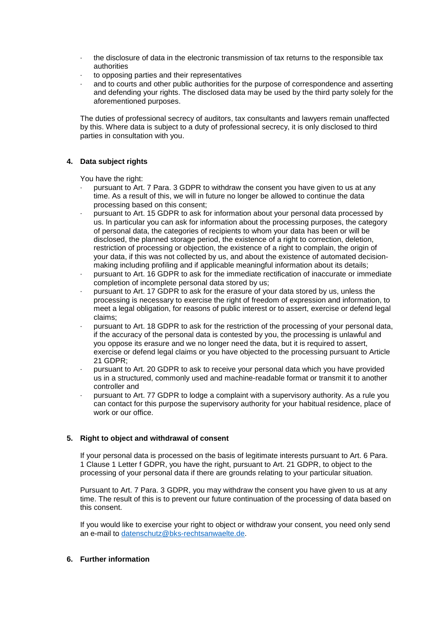- · the disclosure of data in the electronic transmission of tax returns to the responsible tax authorities
- · to opposing parties and their representatives
- and to courts and other public authorities for the purpose of correspondence and asserting and defending your rights. The disclosed data may be used by the third party solely for the aforementioned purposes.

The duties of professional secrecy of auditors, tax consultants and lawyers remain unaffected by this. Where data is subject to a duty of professional secrecy, it is only disclosed to third parties in consultation with you.

# **4. Data subject rights**

You have the right:

- pursuant to Art. 7 Para. 3 GDPR to withdraw the consent you have given to us at any time. As a result of this, we will in future no longer be allowed to continue the data processing based on this consent;
- · pursuant to Art. 15 GDPR to ask for information about your personal data processed by us. In particular you can ask for information about the processing purposes, the category of personal data, the categories of recipients to whom your data has been or will be disclosed, the planned storage period, the existence of a right to correction, deletion, restriction of processing or objection, the existence of a right to complain, the origin of your data, if this was not collected by us, and about the existence of automated decisionmaking including profiling and if applicable meaningful information about its details;
- · pursuant to Art. 16 GDPR to ask for the immediate rectification of inaccurate or immediate completion of incomplete personal data stored by us;
- pursuant to Art. 17 GDPR to ask for the erasure of your data stored by us, unless the processing is necessary to exercise the right of freedom of expression and information, to meet a legal obligation, for reasons of public interest or to assert, exercise or defend legal claims;
- · pursuant to Art. 18 GDPR to ask for the restriction of the processing of your personal data, if the accuracy of the personal data is contested by you, the processing is unlawful and you oppose its erasure and we no longer need the data, but it is required to assert, exercise or defend legal claims or you have objected to the processing pursuant to Article 21 GDPR;
- · pursuant to Art. 20 GDPR to ask to receive your personal data which you have provided us in a structured, commonly used and machine-readable format or transmit it to another controller and
- · pursuant to Art. 77 GDPR to lodge a complaint with a supervisory authority. As a rule you can contact for this purpose the supervisory authority for your habitual residence, place of work or our office.

# **5. Right to object and withdrawal of consent**

If your personal data is processed on the basis of legitimate interests pursuant to Art. 6 Para. 1 Clause 1 Letter f GDPR, you have the right, pursuant to Art. 21 GDPR, to object to the processing of your personal data if there are grounds relating to your particular situation.

Pursuant to Art. 7 Para. 3 GDPR, you may withdraw the consent you have given to us at any time. The result of this is to prevent our future continuation of the processing of data based on this consent.

If you would like to exercise your right to object or withdraw your consent, you need only send an e-mail to [datenschutz@bks-rechtsanwaelte.de.](mailto:datenschutz@bks-rechtsanwaelte.de)

# **6. Further information**